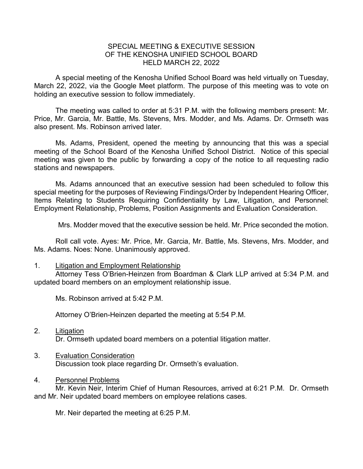## SPECIAL MEETING & EXECUTIVE SESSION OF THE KENOSHA UNIFIED SCHOOL BOARD HELD MARCH 22, 2022

A special meeting of the Kenosha Unified School Board was held virtually on Tuesday, March 22, 2022, via the Google Meet platform. The purpose of this meeting was to vote on holding an executive session to follow immediately.

The meeting was called to order at 5:31 P.M. with the following members present: Mr. Price, Mr. Garcia, Mr. Battle, Ms. Stevens, Mrs. Modder, and Ms. Adams. Dr. Ormseth was also present. Ms. Robinson arrived later.

Ms. Adams, President, opened the meeting by announcing that this was a special meeting of the School Board of the Kenosha Unified School District. Notice of this special meeting was given to the public by forwarding a copy of the notice to all requesting radio stations and newspapers.

Ms. Adams announced that an executive session had been scheduled to follow this special meeting for the purposes of Reviewing Findings/Order by Independent Hearing Officer, Items Relating to Students Requiring Confidentiality by Law, Litigation, and Personnel: Employment Relationship, Problems, Position Assignments and Evaluation Consideration.

Mrs. Modder moved that the executive session be held. Mr. Price seconded the motion.

Roll call vote. Ayes: Mr. Price, Mr. Garcia, Mr. Battle, Ms. Stevens, Mrs. Modder, and Ms. Adams. Noes: None. Unanimously approved.

## 1. Litigation and Employment Relationship

Attorney Tess O'Brien-Heinzen from Boardman & Clark LLP arrived at 5:34 P.M. and updated board members on an employment relationship issue.

Ms. Robinson arrived at 5:42 P.M.

Attorney O'Brien-Heinzen departed the meeting at 5:54 P.M.

- 2. Litigation Dr. Ormseth updated board members on a potential litigation matter.
- 3. Evaluation Consideration Discussion took place regarding Dr. Ormseth's evaluation.

## 4. Personnel Problems

Mr. Kevin Neir, Interim Chief of Human Resources, arrived at 6:21 P.M. Dr. Ormseth and Mr. Neir updated board members on employee relations cases.

Mr. Neir departed the meeting at 6:25 P.M.